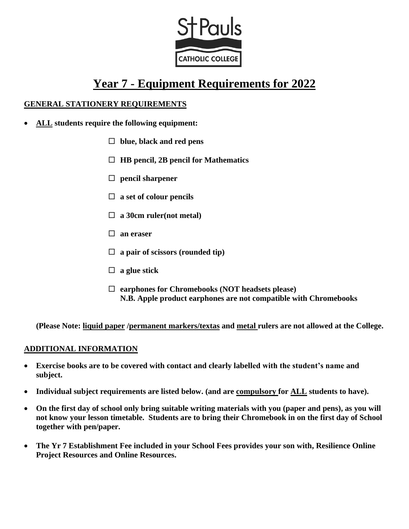

# **Year 7 - Equipment Requirements for 2022**

#### **GENERAL STATIONERY REQUIREMENTS**

- **ALL students require the following equipment:**
	- **blue, black and red pens**
	- **HB pencil, 2B pencil for Mathematics**
	- **pencil sharpener**
	- **a set of colour pencils**
	- **a 30cm ruler(not metal)**
	- **an eraser**
	- **a pair of scissors (rounded tip)**
	- **a glue stick**
	- **earphones for Chromebooks (NOT headsets please) N.B. Apple product earphones are not compatible with Chromebooks**

**(Please Note: liquid paper /permanent markers/textas and metal rulers are not allowed at the College.**

#### **ADDITIONAL INFORMATION**

- **Exercise books are to be covered with contact and clearly labelled with the student's name and subject.**
- **Individual subject requirements are listed below. (and are compulsory for ALL students to have).**
- **On the first day of school only bring suitable writing materials with you (paper and pens), as you will not know your lesson timetable. Students are to bring their Chromebook in on the first day of School together with pen/paper.**
- **The Yr 7 Establishment Fee included in your School Fees provides your son with, Resilience Online Project Resources and Online Resources.**